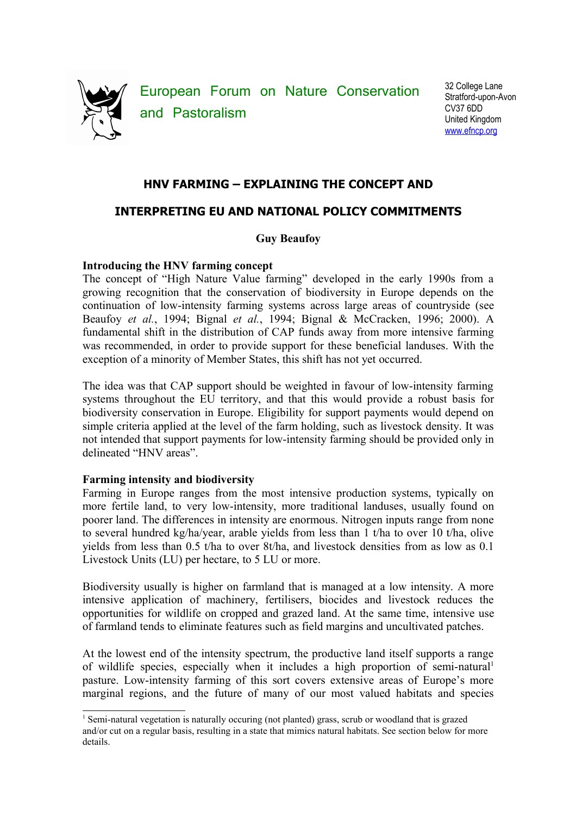

European Forum on Nature Conservation and Pastoralism

32 College Lane Stratford-upon-Avon CV37 6DD United Kingdom [www.efncp.org](http://www.efncp.org/)

## **HNV FARMING – EXPLAINING THE CONCEPT AND**

# **INTERPRETING EU AND NATIONAL POLICY COMMITMENTS**

## **Guy Beaufoy**

## **Introducing the HNV farming concept**

The concept of "High Nature Value farming" developed in the early 1990s from a growing recognition that the conservation of biodiversity in Europe depends on the continuation of low-intensity farming systems across large areas of countryside (see Beaufoy *et al.*, 1994; Bignal *et al.*, 1994; Bignal & McCracken, 1996; 2000). A fundamental shift in the distribution of CAP funds away from more intensive farming was recommended, in order to provide support for these beneficial landuses. With the exception of a minority of Member States, this shift has not yet occurred.

The idea was that CAP support should be weighted in favour of low-intensity farming systems throughout the EU territory, and that this would provide a robust basis for biodiversity conservation in Europe. Eligibility for support payments would depend on simple criteria applied at the level of the farm holding, such as livestock density. It was not intended that support payments for low-intensity farming should be provided only in delineated "HNV areas".

## **Farming intensity and biodiversity**

Farming in Europe ranges from the most intensive production systems, typically on more fertile land, to very low-intensity, more traditional landuses, usually found on poorer land. The differences in intensity are enormous. Nitrogen inputs range from none to several hundred kg/ha/year, arable yields from less than 1 t/ha to over 10 t/ha, olive yields from less than 0.5 t/ha to over 8t/ha, and livestock densities from as low as 0.1 Livestock Units (LU) per hectare, to 5 LU or more.

Biodiversity usually is higher on farmland that is managed at a low intensity. A more intensive application of machinery, fertilisers, biocides and livestock reduces the opportunities for wildlife on cropped and grazed land. At the same time, intensive use of farmland tends to eliminate features such as field margins and uncultivated patches.

At the lowest end of the intensity spectrum, the productive land itself supports a range of wildlife species, especially when it includes a high proportion of semi-natural<sup>[1](#page-0-0)</sup> pasture. Low-intensity farming of this sort covers extensive areas of Europe's more marginal regions, and the future of many of our most valued habitats and species

<span id="page-0-0"></span><sup>1</sup> Semi-natural vegetation is naturally occuring (not planted) grass, scrub or woodland that is grazed and/or cut on a regular basis, resulting in a state that mimics natural habitats. See section below for more details.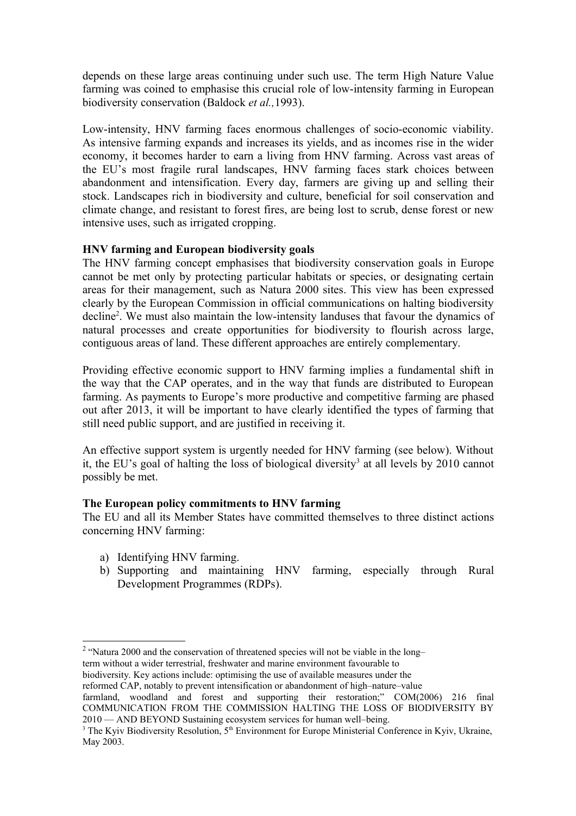depends on these large areas continuing under such use. The term High Nature Value farming was coined to emphasise this crucial role of low-intensity farming in European biodiversity conservation (Baldock *et al.,*1993).

Low-intensity, HNV farming faces enormous challenges of socio-economic viability. As intensive farming expands and increases its yields, and as incomes rise in the wider economy, it becomes harder to earn a living from HNV farming. Across vast areas of the EU's most fragile rural landscapes, HNV farming faces stark choices between abandonment and intensification. Every day, farmers are giving up and selling their stock. Landscapes rich in biodiversity and culture, beneficial for soil conservation and climate change, and resistant to forest fires, are being lost to scrub, dense forest or new intensive uses, such as irrigated cropping.

## **HNV farming and European biodiversity goals**

The HNV farming concept emphasises that biodiversity conservation goals in Europe cannot be met only by protecting particular habitats or species, or designating certain areas for their management, such as Natura 2000 sites. This view has been expressed clearly by the European Commission in official communications on halting biodiversity decline<sup>[2](#page-1-0)</sup>. We must also maintain the low-intensity landuses that favour the dynamics of natural processes and create opportunities for biodiversity to flourish across large, contiguous areas of land. These different approaches are entirely complementary.

Providing effective economic support to HNV farming implies a fundamental shift in the way that the CAP operates, and in the way that funds are distributed to European farming. As payments to Europe's more productive and competitive farming are phased out after 2013, it will be important to have clearly identified the types of farming that still need public support, and are justified in receiving it.

An effective support system is urgently needed for HNV farming (see below). Without it, the EU's goal of halting the loss of biological diversity<sup>[3](#page-1-1)</sup> at all levels by 2010 cannot possibly be met.

## **The European policy commitments to HNV farming**

The EU and all its Member States have committed themselves to three distinct actions concerning HNV farming:

- a) Identifying HNV farming.
- b) Supporting and maintaining HNV farming, especially through Rural Development Programmes (RDPs).

biodiversity. Key actions include: optimising the use of available measures under the reformed CAP, notably to prevent intensification or abandonment of high–nature–value

<span id="page-1-0"></span><sup>&</sup>lt;sup>2</sup> "Natura 2000 and the conservation of threatened species will not be viable in the long– term without a wider terrestrial, freshwater and marine environment favourable to

farmland, woodland and forest and supporting their restoration;" COM(2006) 216 final COMMUNICATION FROM THE COMMISSION HALTING THE LOSS OF BIODIVERSITY BY 2010 — AND BEYOND Sustaining ecosystem services for human well–being.

<span id="page-1-1"></span><sup>&</sup>lt;sup>3</sup> The Kyiv Biodiversity Resolution,  $5<sup>th</sup>$  Environment for Europe Ministerial Conference in Kyiv, Ukraine, May 2003.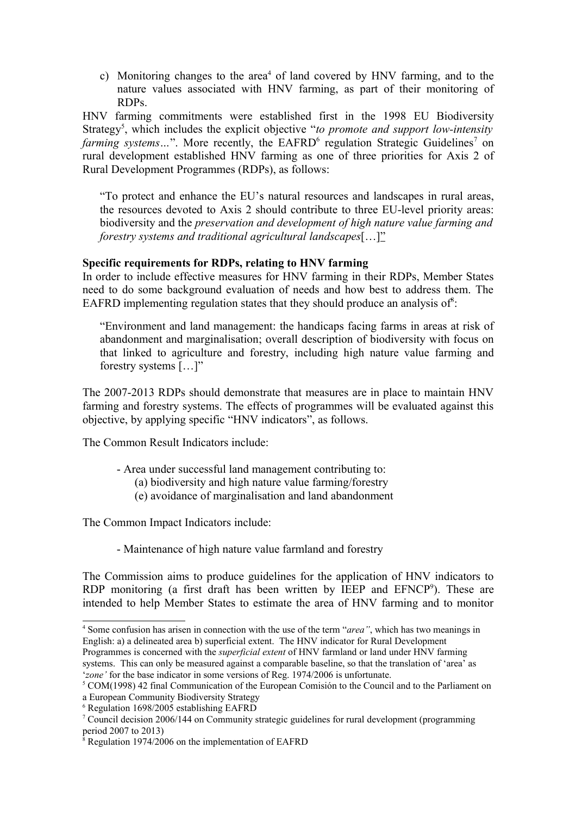c) Monitoring changes to the area<sup>[4](#page-2-0)</sup> of land covered by HNV farming, and to the nature values associated with HNV farming, as part of their monitoring of RDPs.

HNV farming commitments were established first in the 1998 EU Biodiversity Strategy<sup>[5](#page-2-1)</sup>, which includes the explicit objective "*to promote and support low-intensity farming systems...*". More recently, the EAFRD<sup>[6](#page-2-2)</sup> regulation Strategic Guidelines<sup>[7](#page-2-3)</sup> on rural development established HNV farming as one of three priorities for Axis 2 of Rural Development Programmes (RDPs), as follows:

"To protect and enhance the EU's natural resources and landscapes in rural areas, the resources devoted to Axis 2 should contribute to three EU-level priority areas: biodiversity and the *preservation and development of high nature value farming and forestry systems and traditional agricultural landscapes*[…]"

#### **Specific requirements for RDPs, relating to HNV farming**

In order to include effective measures for HNV farming in their RDPs, Member States need to do some background evaluation of needs and how best to address them. The EAFRD implementing regulation states that they should produce an analysis of $s$ :

"Environment and land management: the handicaps facing farms in areas at risk of abandonment and marginalisation; overall description of biodiversity with focus on that linked to agriculture and forestry, including high nature value farming and forestry systems […]"

The 2007-2013 RDPs should demonstrate that measures are in place to maintain HNV farming and forestry systems. The effects of programmes will be evaluated against this objective, by applying specific "HNV indicators", as follows.

The Common Result Indicators include:

- Area under successful land management contributing to:
	- (a) biodiversity and high nature value farming/forestry
	- (e) avoidance of marginalisation and land abandonment

The Common Impact Indicators include:

- Maintenance of high nature value farmland and forestry

The Commission aims to produce guidelines for the application of HNV indicators to RDP monitoring (a first draft has been written by IEEP and EFNCP<sup>[9](#page-3-0)</sup>). These are intended to help Member States to estimate the area of HNV farming and to monitor

systems. This can only be measured against a comparable baseline, so that the translation of 'area' as '*zone'* for the base indicator in some versions of Reg. 1974/2006 is unfortunate.

<span id="page-2-2"></span>6 Regulation 1698/2005 establishing EAFRD

<span id="page-2-0"></span><sup>4</sup> Some confusion has arisen in connection with the use of the term "*area"*, which has two meanings in English: a) a delineated area b) superficial extent. The HNV indicator for Rural Development Programmes is concerned with the *superficial extent* of HNV farmland or land under HNV farming

<span id="page-2-1"></span><sup>&</sup>lt;sup>5</sup> COM(1998) 42 final Communication of the European Comisión to the Council and to the Parliament on a European Community Biodiversity Strategy

<span id="page-2-3"></span><sup>7</sup> Council decision 2006/144 on Community strategic guidelines for rural development (programming period 2007 to 2013)

<span id="page-2-4"></span><sup>&</sup>lt;sup>8</sup> Regulation 1974/2006 on the implementation of EAFRD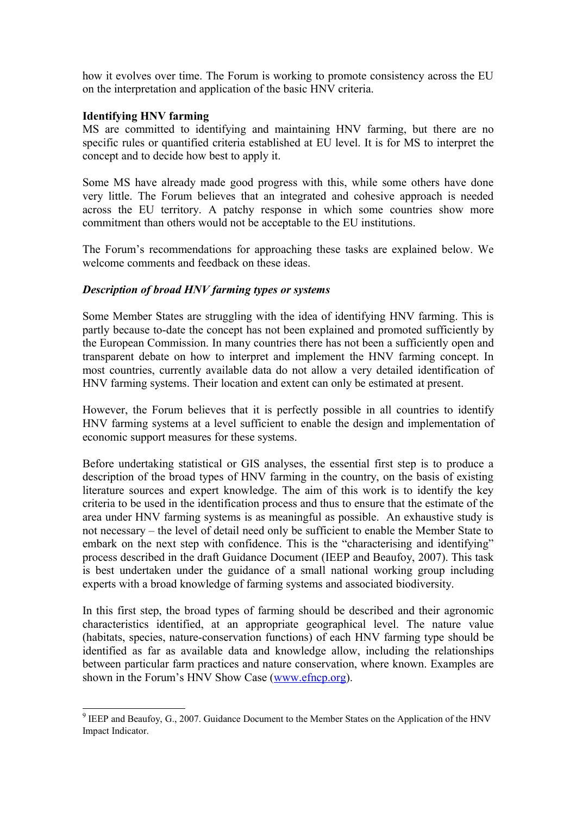how it evolves over time. The Forum is working to promote consistency across the EU on the interpretation and application of the basic HNV criteria.

#### **Identifying HNV farming**

MS are committed to identifying and maintaining HNV farming, but there are no specific rules or quantified criteria established at EU level. It is for MS to interpret the concept and to decide how best to apply it.

Some MS have already made good progress with this, while some others have done very little. The Forum believes that an integrated and cohesive approach is needed across the EU territory. A patchy response in which some countries show more commitment than others would not be acceptable to the EU institutions.

The Forum's recommendations for approaching these tasks are explained below. We welcome comments and feedback on these ideas.

#### *Description of broad HNV farming types or systems*

Some Member States are struggling with the idea of identifying HNV farming. This is partly because to-date the concept has not been explained and promoted sufficiently by the European Commission. In many countries there has not been a sufficiently open and transparent debate on how to interpret and implement the HNV farming concept. In most countries, currently available data do not allow a very detailed identification of HNV farming systems. Their location and extent can only be estimated at present.

However, the Forum believes that it is perfectly possible in all countries to identify HNV farming systems at a level sufficient to enable the design and implementation of economic support measures for these systems.

Before undertaking statistical or GIS analyses, the essential first step is to produce a description of the broad types of HNV farming in the country, on the basis of existing literature sources and expert knowledge. The aim of this work is to identify the key criteria to be used in the identification process and thus to ensure that the estimate of the area under HNV farming systems is as meaningful as possible. An exhaustive study is not necessary – the level of detail need only be sufficient to enable the Member State to embark on the next step with confidence. This is the "characterising and identifying" process described in the draft Guidance Document (IEEP and Beaufoy, 2007). This task is best undertaken under the guidance of a small national working group including experts with a broad knowledge of farming systems and associated biodiversity.

In this first step, the broad types of farming should be described and their agronomic characteristics identified, at an appropriate geographical level. The nature value (habitats, species, nature-conservation functions) of each HNV farming type should be identified as far as available data and knowledge allow, including the relationships between particular farm practices and nature conservation, where known. Examples are shown in the Forum's HNV Show Case [\(www.efncp.org\)](http://www.efncp.org/).

<span id="page-3-0"></span> $9$  IEEP and Beaufoy, G., 2007. Guidance Document to the Member States on the Application of the HNV Impact Indicator.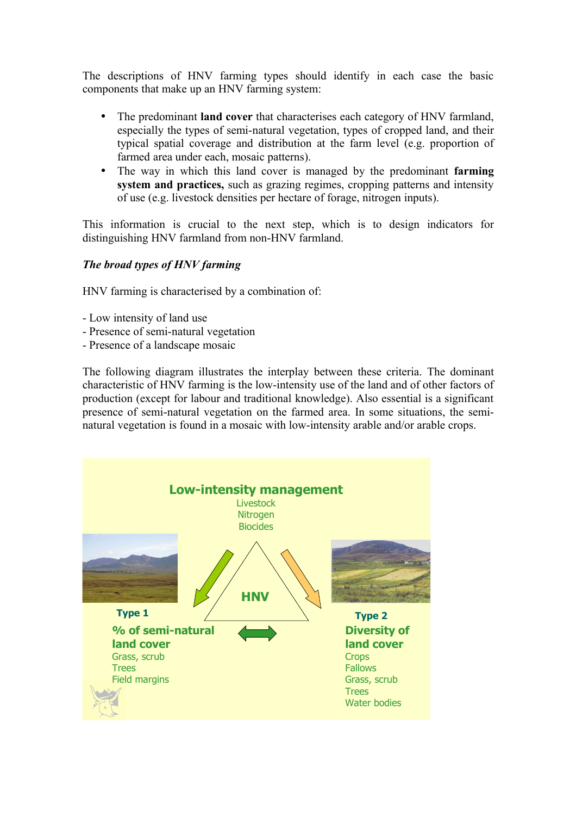The descriptions of HNV farming types should identify in each case the basic components that make up an HNV farming system:

- The predominant **land cover** that characterises each category of HNV farmland, especially the types of semi-natural vegetation, types of cropped land, and their typical spatial coverage and distribution at the farm level (e.g. proportion of farmed area under each, mosaic patterns).
- The way in which this land cover is managed by the predominant **farming system and practices,** such as grazing regimes, cropping patterns and intensity of use (e.g. livestock densities per hectare of forage, nitrogen inputs).

This information is crucial to the next step, which is to design indicators for distinguishing HNV farmland from non-HNV farmland.

## *The broad types of HNV farming*

HNV farming is characterised by a combination of:

- Low intensity of land use
- Presence of semi-natural vegetation
- Presence of a landscape mosaic

The following diagram illustrates the interplay between these criteria. The dominant characteristic of HNV farming is the low-intensity use of the land and of other factors of production (except for labour and traditional knowledge). Also essential is a significant presence of semi-natural vegetation on the farmed area. In some situations, the seminatural vegetation is found in a mosaic with low-intensity arable and/or arable crops.

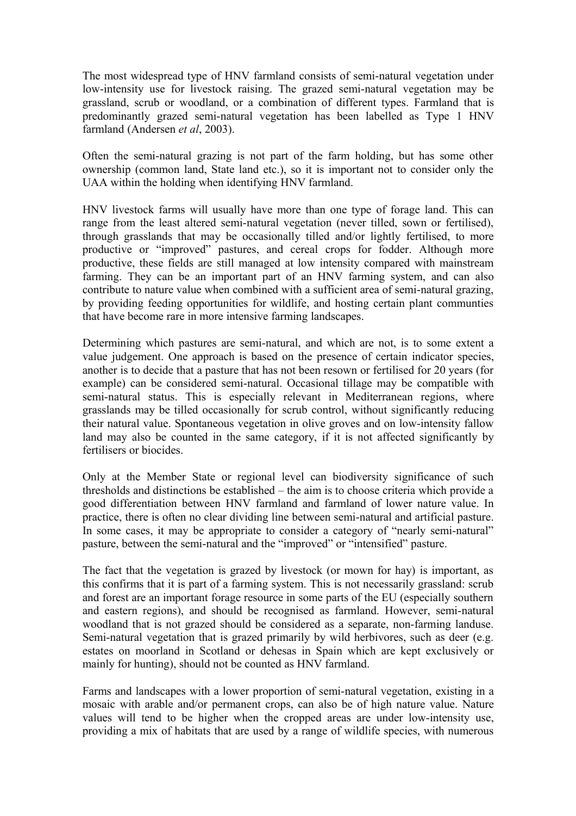The most widespread type of HNV farmland consists of semi-natural vegetation under low-intensity use for livestock raising. The grazed semi-natural vegetation may be grassland, scrub or woodland, or a combination of different types. Farmland that is predominantly grazed semi-natural vegetation has been labelled as Type 1 HNV farmland (Andersen *et al*, 2003).

Often the semi-natural grazing is not part of the farm holding, but has some other ownership (common land, State land etc.), so it is important not to consider only the UAA within the holding when identifying HNV farmland.

HNV livestock farms will usually have more than one type of forage land. This can range from the least altered semi-natural vegetation (never tilled, sown or fertilised), through grasslands that may be occasionally tilled and/or lightly fertilised, to more productive or "improved" pastures, and cereal crops for fodder. Although more productive, these fields are still managed at low intensity compared with mainstream farming. They can be an important part of an HNV farming system, and can also contribute to nature value when combined with a sufficient area of semi-natural grazing, by providing feeding opportunities for wildlife, and hosting certain plant communties that have become rare in more intensive farming landscapes.

Determining which pastures are semi-natural, and which are not, is to some extent a value judgement. One approach is based on the presence of certain indicator species, another is to decide that a pasture that has not been resown or fertilised for 20 years (for example) can be considered semi-natural. Occasional tillage may be compatible with semi-natural status. This is especially relevant in Mediterranean regions, where grasslands may be tilled occasionally for scrub control, without significantly reducing their natural value. Spontaneous vegetation in olive groves and on low-intensity fallow land may also be counted in the same category, if it is not affected significantly by fertilisers or biocides.

Only at the Member State or regional level can biodiversity significance of such thresholds and distinctions be established – the aim is to choose criteria which provide a good differentiation between HNV farmland and farmland of lower nature value. In practice, there is often no clear dividing line between semi-natural and artificial pasture. In some cases, it may be appropriate to consider a category of "nearly semi-natural" pasture, between the semi-natural and the "improved" or "intensified" pasture.

The fact that the vegetation is grazed by livestock (or mown for hay) is important, as this confirms that it is part of a farming system. This is not necessarily grassland: scrub and forest are an important forage resource in some parts of the EU (especially southern and eastern regions), and should be recognised as farmland. However, semi-natural woodland that is not grazed should be considered as a separate, non-farming landuse. Semi-natural vegetation that is grazed primarily by wild herbivores, such as deer (e.g. estates on moorland in Scotland or dehesas in Spain which are kept exclusively or mainly for hunting), should not be counted as HNV farmland.

Farms and landscapes with a lower proportion of semi-natural vegetation, existing in a mosaic with arable and/or permanent crops, can also be of high nature value. Nature values will tend to be higher when the cropped areas are under low-intensity use, providing a mix of habitats that are used by a range of wildlife species, with numerous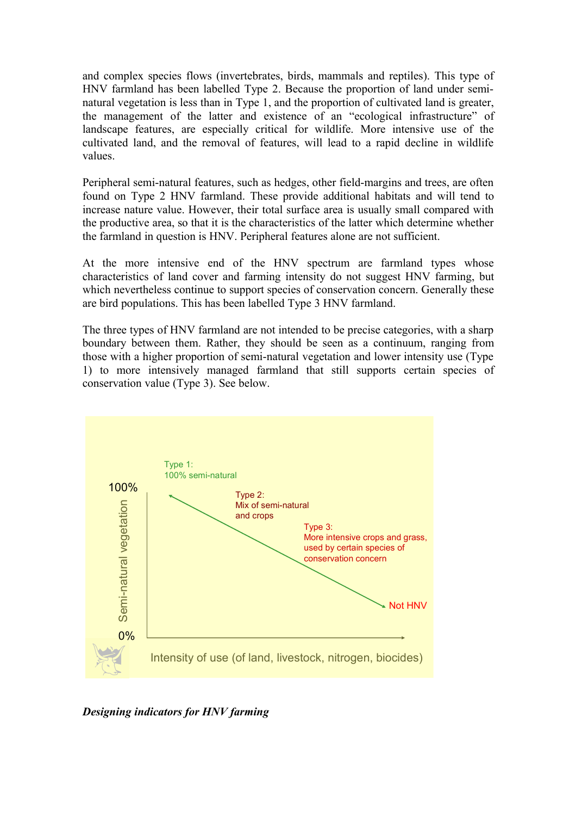and complex species flows (invertebrates, birds, mammals and reptiles). This type of HNV farmland has been labelled Type 2. Because the proportion of land under seminatural vegetation is less than in Type 1, and the proportion of cultivated land is greater, the management of the latter and existence of an "ecological infrastructure" of landscape features, are especially critical for wildlife. More intensive use of the cultivated land, and the removal of features, will lead to a rapid decline in wildlife values.

Peripheral semi-natural features, such as hedges, other field-margins and trees, are often found on Type 2 HNV farmland. These provide additional habitats and will tend to increase nature value. However, their total surface area is usually small compared with the productive area, so that it is the characteristics of the latter which determine whether the farmland in question is HNV. Peripheral features alone are not sufficient.

At the more intensive end of the HNV spectrum are farmland types whose characteristics of land cover and farming intensity do not suggest HNV farming, but which nevertheless continue to support species of conservation concern. Generally these are bird populations. This has been labelled Type 3 HNV farmland.

The three types of HNV farmland are not intended to be precise categories, with a sharp boundary between them. Rather, they should be seen as a continuum, ranging from those with a higher proportion of semi-natural vegetation and lower intensity use (Type 1) to more intensively managed farmland that still supports certain species of conservation value (Type 3). See below.



*Designing indicators for HNV farming*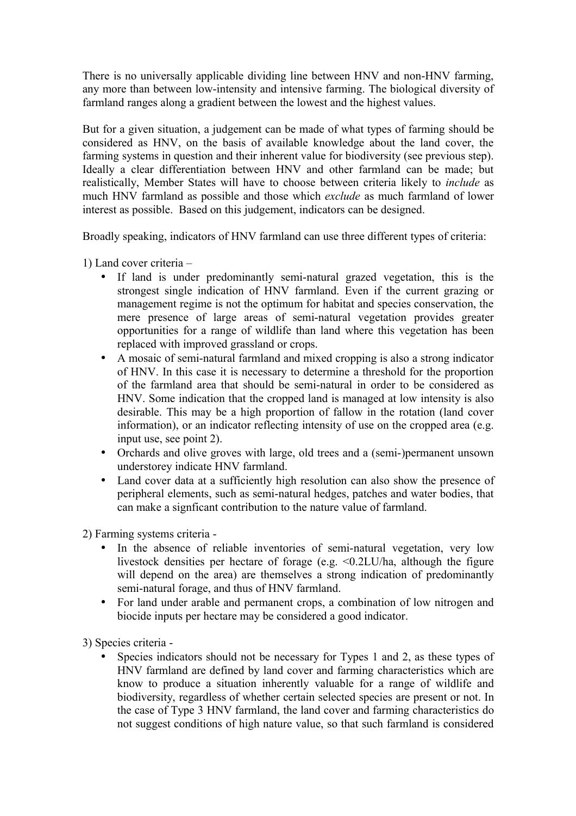There is no universally applicable dividing line between HNV and non-HNV farming, any more than between low-intensity and intensive farming. The biological diversity of farmland ranges along a gradient between the lowest and the highest values.

But for a given situation, a judgement can be made of what types of farming should be considered as HNV, on the basis of available knowledge about the land cover, the farming systems in question and their inherent value for biodiversity (see previous step). Ideally a clear differentiation between HNV and other farmland can be made; but realistically, Member States will have to choose between criteria likely to *include* as much HNV farmland as possible and those which *exclude* as much farmland of lower interest as possible. Based on this judgement, indicators can be designed.

Broadly speaking, indicators of HNV farmland can use three different types of criteria:

1) Land cover criteria –

- If land is under predominantly semi-natural grazed vegetation, this is the strongest single indication of HNV farmland. Even if the current grazing or management regime is not the optimum for habitat and species conservation, the mere presence of large areas of semi-natural vegetation provides greater opportunities for a range of wildlife than land where this vegetation has been replaced with improved grassland or crops.
- A mosaic of semi-natural farmland and mixed cropping is also a strong indicator of HNV. In this case it is necessary to determine a threshold for the proportion of the farmland area that should be semi-natural in order to be considered as HNV. Some indication that the cropped land is managed at low intensity is also desirable. This may be a high proportion of fallow in the rotation (land cover information), or an indicator reflecting intensity of use on the cropped area (e.g. input use, see point 2).
- Orchards and olive groves with large, old trees and a (semi-)permanent unsown understorey indicate HNV farmland.
- Land cover data at a sufficiently high resolution can also show the presence of peripheral elements, such as semi-natural hedges, patches and water bodies, that can make a signficant contribution to the nature value of farmland.

2) Farming systems criteria -

- In the absence of reliable inventories of semi-natural vegetation, very low livestock densities per hectare of forage (e.g. <0.2LU/ha, although the figure will depend on the area) are themselves a strong indication of predominantly semi-natural forage, and thus of HNV farmland.
- For land under arable and permanent crops, a combination of low nitrogen and biocide inputs per hectare may be considered a good indicator.

3) Species criteria -

Species indicators should not be necessary for Types 1 and 2, as these types of HNV farmland are defined by land cover and farming characteristics which are know to produce a situation inherently valuable for a range of wildlife and biodiversity, regardless of whether certain selected species are present or not. In the case of Type 3 HNV farmland, the land cover and farming characteristics do not suggest conditions of high nature value, so that such farmland is considered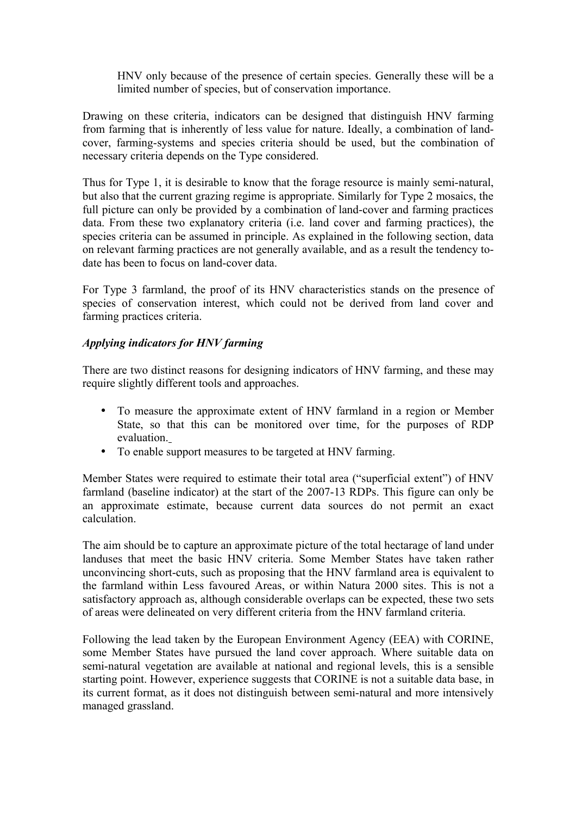HNV only because of the presence of certain species. Generally these will be a limited number of species, but of conservation importance.

Drawing on these criteria, indicators can be designed that distinguish HNV farming from farming that is inherently of less value for nature. Ideally, a combination of landcover, farming-systems and species criteria should be used, but the combination of necessary criteria depends on the Type considered.

Thus for Type 1, it is desirable to know that the forage resource is mainly semi-natural, but also that the current grazing regime is appropriate. Similarly for Type 2 mosaics, the full picture can only be provided by a combination of land-cover and farming practices data. From these two explanatory criteria (i.e. land cover and farming practices), the species criteria can be assumed in principle. As explained in the following section, data on relevant farming practices are not generally available, and as a result the tendency todate has been to focus on land-cover data.

For Type 3 farmland, the proof of its HNV characteristics stands on the presence of species of conservation interest, which could not be derived from land cover and farming practices criteria.

## *Applying indicators for HNV farming*

There are two distinct reasons for designing indicators of HNV farming, and these may require slightly different tools and approaches.

- To measure the approximate extent of HNV farmland in a region or Member State, so that this can be monitored over time, for the purposes of RDP evaluation.
- To enable support measures to be targeted at HNV farming.

Member States were required to estimate their total area ("superficial extent") of HNV farmland (baseline indicator) at the start of the 2007-13 RDPs. This figure can only be an approximate estimate, because current data sources do not permit an exact calculation.

The aim should be to capture an approximate picture of the total hectarage of land under landuses that meet the basic HNV criteria. Some Member States have taken rather unconvincing short-cuts, such as proposing that the HNV farmland area is equivalent to the farmland within Less favoured Areas, or within Natura 2000 sites. This is not a satisfactory approach as, although considerable overlaps can be expected, these two sets of areas were delineated on very different criteria from the HNV farmland criteria.

Following the lead taken by the European Environment Agency (EEA) with CORINE, some Member States have pursued the land cover approach. Where suitable data on semi-natural vegetation are available at national and regional levels, this is a sensible starting point. However, experience suggests that CORINE is not a suitable data base, in its current format, as it does not distinguish between semi-natural and more intensively managed grassland.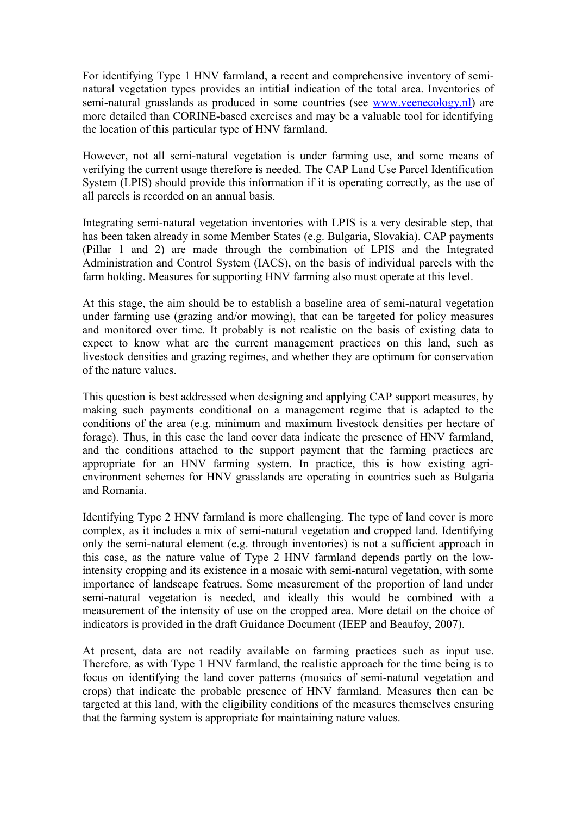For identifying Type 1 HNV farmland, a recent and comprehensive inventory of seminatural vegetation types provides an intitial indication of the total area. Inventories of semi-natural grasslands as produced in some countries (see [www.veenecology.nl\)](http://www.veenecology.nl/) are more detailed than CORINE-based exercises and may be a valuable tool for identifying the location of this particular type of HNV farmland.

However, not all semi-natural vegetation is under farming use, and some means of verifying the current usage therefore is needed. The CAP Land Use Parcel Identification System (LPIS) should provide this information if it is operating correctly, as the use of all parcels is recorded on an annual basis.

Integrating semi-natural vegetation inventories with LPIS is a very desirable step, that has been taken already in some Member States (e.g. Bulgaria, Slovakia). CAP payments (Pillar 1 and 2) are made through the combination of LPIS and the Integrated Administration and Control System (IACS), on the basis of individual parcels with the farm holding. Measures for supporting HNV farming also must operate at this level.

At this stage, the aim should be to establish a baseline area of semi-natural vegetation under farming use (grazing and/or mowing), that can be targeted for policy measures and monitored over time. It probably is not realistic on the basis of existing data to expect to know what are the current management practices on this land, such as livestock densities and grazing regimes, and whether they are optimum for conservation of the nature values.

This question is best addressed when designing and applying CAP support measures, by making such payments conditional on a management regime that is adapted to the conditions of the area (e.g. minimum and maximum livestock densities per hectare of forage). Thus, in this case the land cover data indicate the presence of HNV farmland, and the conditions attached to the support payment that the farming practices are appropriate for an HNV farming system. In practice, this is how existing agrienvironment schemes for HNV grasslands are operating in countries such as Bulgaria and Romania.

Identifying Type 2 HNV farmland is more challenging. The type of land cover is more complex, as it includes a mix of semi-natural vegetation and cropped land. Identifying only the semi-natural element (e.g. through inventories) is not a sufficient approach in this case, as the nature value of Type 2 HNV farmland depends partly on the lowintensity cropping and its existence in a mosaic with semi-natural vegetation, with some importance of landscape featrues. Some measurement of the proportion of land under semi-natural vegetation is needed, and ideally this would be combined with a measurement of the intensity of use on the cropped area. More detail on the choice of indicators is provided in the draft Guidance Document (IEEP and Beaufoy, 2007).

At present, data are not readily available on farming practices such as input use. Therefore, as with Type 1 HNV farmland, the realistic approach for the time being is to focus on identifying the land cover patterns (mosaics of semi-natural vegetation and crops) that indicate the probable presence of HNV farmland. Measures then can be targeted at this land, with the eligibility conditions of the measures themselves ensuring that the farming system is appropriate for maintaining nature values.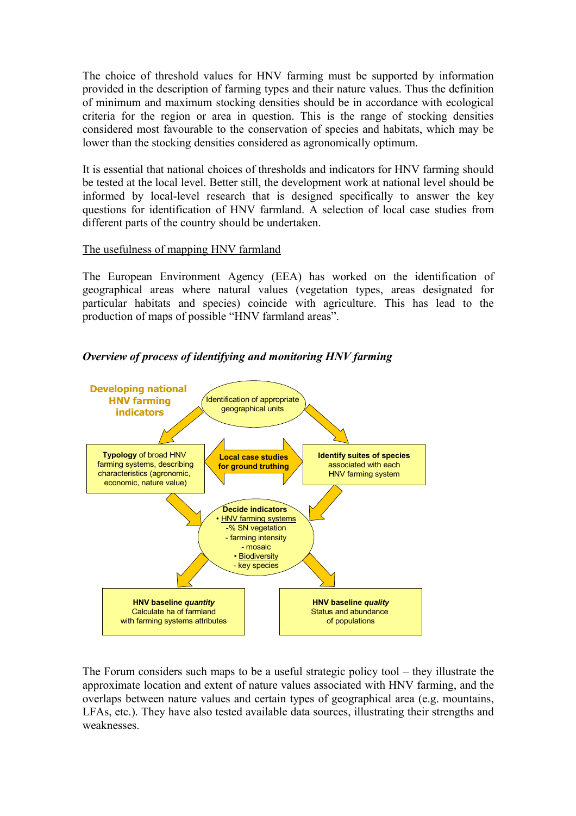The choice of threshold values for HNV farming must be supported by information provided in the description of farming types and their nature values. Thus the definition of minimum and maximum stocking densities should be in accordance with ecological criteria for the region or area in question. This is the range of stocking densities considered most favourable to the conservation of species and habitats, which may be lower than the stocking densities considered as agronomically optimum.

It is essential that national choices of thresholds and indicators for HNV farming should be tested at the local level. Better still, the development work at national level should be informed by local-level research that is designed specifically to answer the key questions for identification of HNV farmland. A selection of local case studies from different parts of the country should be undertaken.

## The usefulness of mapping HNV farmland

The European Environment Agency (EEA) has worked on the identification of geographical areas where natural values (vegetation types, areas designated for particular habitats and species) coincide with agriculture. This has lead to the production of maps of possible "HNV farmland areas".

*Overview of process of identifying and monitoring HNV farming*



The Forum considers such maps to be a useful strategic policy tool – they illustrate the approximate location and extent of nature values associated with HNV farming, and the overlaps between nature values and certain types of geographical area (e.g. mountains, LFAs, etc.). They have also tested available data sources, illustrating their strengths and weaknesses.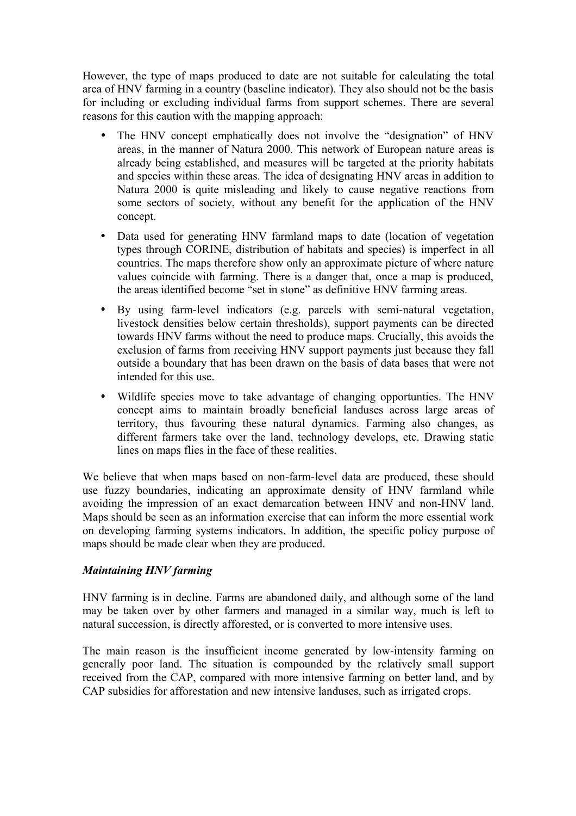However, the type of maps produced to date are not suitable for calculating the total area of HNV farming in a country (baseline indicator). They also should not be the basis for including or excluding individual farms from support schemes. There are several reasons for this caution with the mapping approach:

- The HNV concept emphatically does not involve the "designation" of HNV areas, in the manner of Natura 2000. This network of European nature areas is already being established, and measures will be targeted at the priority habitats and species within these areas. The idea of designating HNV areas in addition to Natura 2000 is quite misleading and likely to cause negative reactions from some sectors of society, without any benefit for the application of the HNV concept.
- Data used for generating HNV farmland maps to date (location of vegetation types through CORINE, distribution of habitats and species) is imperfect in all countries. The maps therefore show only an approximate picture of where nature values coincide with farming. There is a danger that, once a map is produced, the areas identified become "set in stone" as definitive HNV farming areas.
- By using farm-level indicators (e.g. parcels with semi-natural vegetation, livestock densities below certain thresholds), support payments can be directed towards HNV farms without the need to produce maps. Crucially, this avoids the exclusion of farms from receiving HNV support payments just because they fall outside a boundary that has been drawn on the basis of data bases that were not intended for this use.
- Wildlife species move to take advantage of changing opportunties. The HNV concept aims to maintain broadly beneficial landuses across large areas of territory, thus favouring these natural dynamics. Farming also changes, as different farmers take over the land, technology develops, etc. Drawing static lines on maps flies in the face of these realities.

We believe that when maps based on non-farm-level data are produced, these should use fuzzy boundaries, indicating an approximate density of HNV farmland while avoiding the impression of an exact demarcation between HNV and non-HNV land. Maps should be seen as an information exercise that can inform the more essential work on developing farming systems indicators. In addition, the specific policy purpose of maps should be made clear when they are produced.

## *Maintaining HNV farming*

HNV farming is in decline. Farms are abandoned daily, and although some of the land may be taken over by other farmers and managed in a similar way, much is left to natural succession, is directly afforested, or is converted to more intensive uses.

The main reason is the insufficient income generated by low-intensity farming on generally poor land. The situation is compounded by the relatively small support received from the CAP, compared with more intensive farming on better land, and by CAP subsidies for afforestation and new intensive landuses, such as irrigated crops.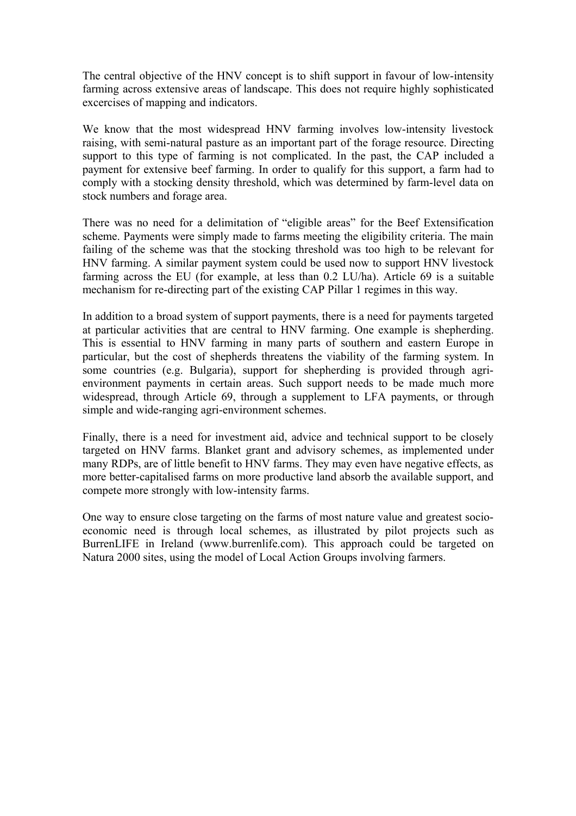The central objective of the HNV concept is to shift support in favour of low-intensity farming across extensive areas of landscape. This does not require highly sophisticated excercises of mapping and indicators.

We know that the most widespread HNV farming involves low-intensity livestock raising, with semi-natural pasture as an important part of the forage resource. Directing support to this type of farming is not complicated. In the past, the CAP included a payment for extensive beef farming. In order to qualify for this support, a farm had to comply with a stocking density threshold, which was determined by farm-level data on stock numbers and forage area.

There was no need for a delimitation of "eligible areas" for the Beef Extensification scheme. Payments were simply made to farms meeting the eligibility criteria. The main failing of the scheme was that the stocking threshold was too high to be relevant for HNV farming. A similar payment system could be used now to support HNV livestock farming across the EU (for example, at less than 0.2 LU/ha). Article 69 is a suitable mechanism for re-directing part of the existing CAP Pillar 1 regimes in this way.

In addition to a broad system of support payments, there is a need for payments targeted at particular activities that are central to HNV farming. One example is shepherding. This is essential to HNV farming in many parts of southern and eastern Europe in particular, but the cost of shepherds threatens the viability of the farming system. In some countries (e.g. Bulgaria), support for shepherding is provided through agrienvironment payments in certain areas. Such support needs to be made much more widespread, through Article 69, through a supplement to LFA payments, or through simple and wide-ranging agri-environment schemes.

Finally, there is a need for investment aid, advice and technical support to be closely targeted on HNV farms. Blanket grant and advisory schemes, as implemented under many RDPs, are of little benefit to HNV farms. They may even have negative effects, as more better-capitalised farms on more productive land absorb the available support, and compete more strongly with low-intensity farms.

One way to ensure close targeting on the farms of most nature value and greatest socioeconomic need is through local schemes, as illustrated by pilot projects such as BurrenLIFE in Ireland (www.burrenlife.com). This approach could be targeted on Natura 2000 sites, using the model of Local Action Groups involving farmers.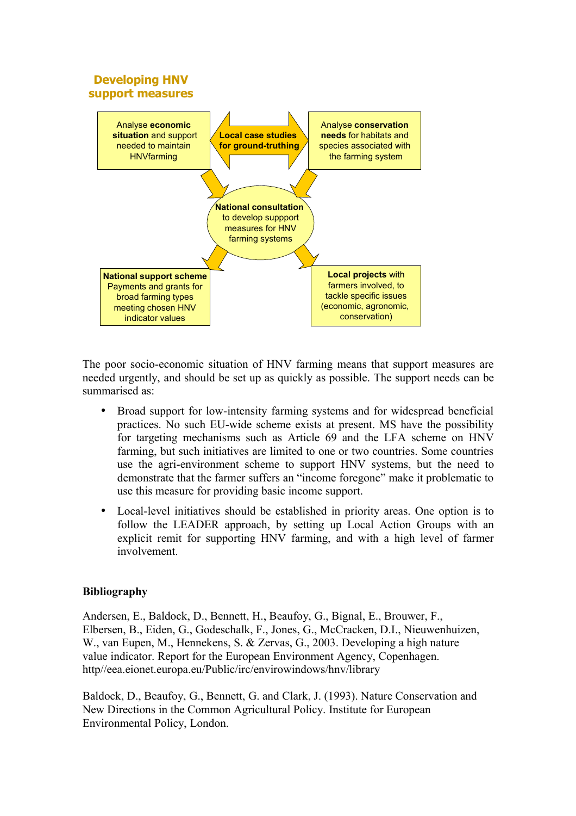

The poor socio-economic situation of HNV farming means that support measures are needed urgently, and should be set up as quickly as possible. The support needs can be summarised as:

- Broad support for low-intensity farming systems and for widespread beneficial practices. No such EU-wide scheme exists at present. MS have the possibility for targeting mechanisms such as Article 69 and the LFA scheme on HNV farming, but such initiatives are limited to one or two countries. Some countries use the agri-environment scheme to support HNV systems, but the need to demonstrate that the farmer suffers an "income foregone" make it problematic to use this measure for providing basic income support.
- Local-level initiatives should be established in priority areas. One option is to follow the LEADER approach, by setting up Local Action Groups with an explicit remit for supporting HNV farming, and with a high level of farmer involvement.

## **Bibliography**

Andersen, E., Baldock, D., Bennett, H., Beaufoy, G., Bignal, E., Brouwer, F., Elbersen, B., Eiden, G., Godeschalk, F., Jones, G., McCracken, D.I., Nieuwenhuizen, W., van Eupen, M., Hennekens, S. & Zervas, G., 2003. Developing a high nature value indicator. Report for the European Environment Agency, Copenhagen. http//eea.eionet.europa.eu/Public/irc/envirowindows/hnv/library

Baldock, D., Beaufoy, G., Bennett, G. and Clark, J. (1993). Nature Conservation and New Directions in the Common Agricultural Policy. Institute for European Environmental Policy, London.